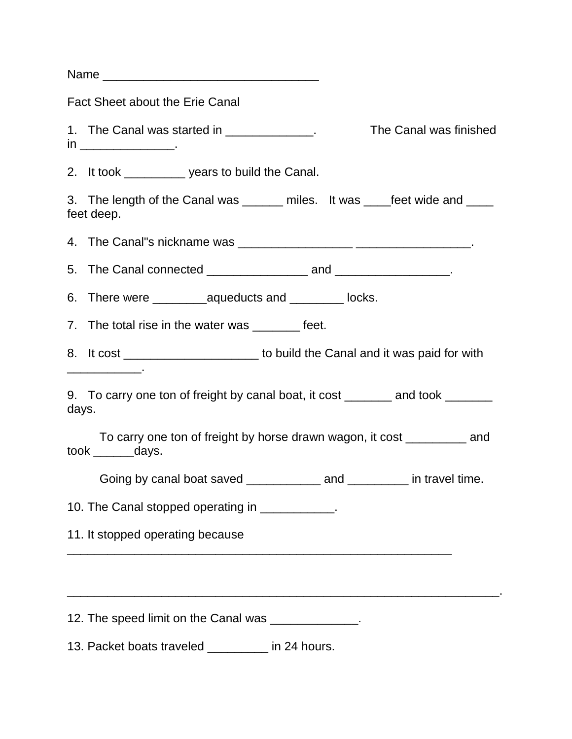| Name                                                                                                |
|-----------------------------------------------------------------------------------------------------|
| <b>Fact Sheet about the Erie Canal</b>                                                              |
| The Canal was finished<br>1. The Canal was started in _____________.<br>in ________________________ |
| 2. It took _____________ years to build the Canal.                                                  |
| 3. The length of the Canal was _______ miles. It was ____feet wide and ____<br>feet deep.           |
|                                                                                                     |
|                                                                                                     |
|                                                                                                     |
| 7. The total rise in the water was _________ feet.                                                  |
| 8. It cost ________________________ to build the Canal and it was paid for with                     |
| 9. To carry one ton of freight by canal boat, it cost ________ and took _______<br>days.            |
| To carry one ton of freight by horse drawn wagon, it cost __________ and<br>took ________days.      |
| Going by canal boat saved _______________ and ___________ in travel time.                           |
| 10. The Canal stopped operating in ____________.                                                    |
| 11. It stopped operating because                                                                    |
|                                                                                                     |
| 12. The speed limit on the Canal was ______________.                                                |
| 13. Packet boats traveled _________ in 24 hours.                                                    |